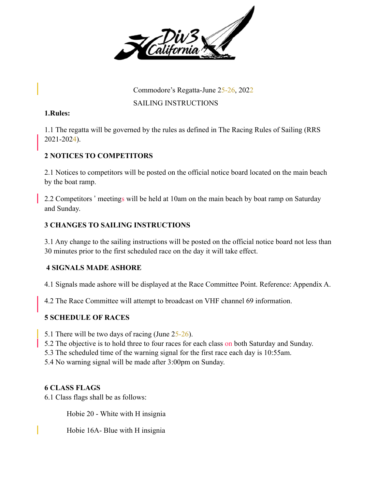

Commodore's Regatta-June 25-26, 2022

SAILING INSTRUCTIONS

#### **1.Rules:**

1.1 The regatta will be governed by the rules as defined in The Racing Rules of Sailing (RRS 2021-2024).

# **2 NOTICES TO COMPETITORS**

2.1 Notices to competitors will be posted on the official notice board located on the main beach by the boat ramp.

2.2 Competitors ' meetings will be held at 10am on the main beach by boat ramp on Saturday and Sunday.

# **3 CHANGES TO SAILING INSTRUCTIONS**

3.1 Any change to the sailing instructions will be posted on the official notice board not less than 30 minutes prior to the first scheduled race on the day it will take effect.

# **4 SIGNALS MADE ASHORE**

4.1 Signals made ashore will be displayed at the Race Committee Point. Reference: Appendix A.

4.2 The Race Committee will attempt to broadcast on VHF channel 69 information.

# **5 SCHEDULE OF RACES**

5.1 There will be two days of racing (June 25-26).

- 5.2 The objective is to hold three to four races for each class on both Saturday and Sunday.
- 5.3 The scheduled time of the warning signal for the first race each day is 10:55am.
- 5.4 No warning signal will be made after 3:00pm on Sunday.

# **6 CLASS FLAGS**

6.1 Class flags shall be as follows:

Hobie 20 - White with H insignia

Hobie 16A- Blue with H insignia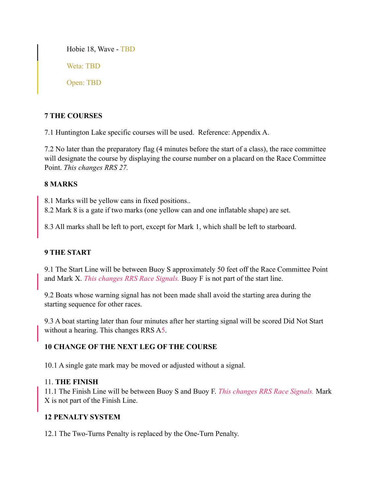Hobie 18, Wave - TBD Weta: TBD Open: TBD

# **7 THE COURSES**

7.1 Huntington Lake specific courses will be used. Reference: Appendix A.

7.2 No later than the preparatory flag (4 minutes before the start of a class), the race committee will designate the course by displaying the course number on a placard on the Race Committee Point. *This changes RRS 27.*

# **8 MARKS**

8.1 Marks will be yellow cans in fixed positions..

8.2 Mark 8 is a gate if two marks (one yellow can and one inflatable shape) are set.

8.3 All marks shall be left to port, except for Mark 1, which shall be left to starboard.

# **9 THE START**

9.1 The Start Line will be between Buoy S approximately 50 feet off the Race Committee Point and Mark X. *This changes RRS Race Signals.* Buoy F is not part of the start line.

9.2 Boats whose warning signal has not been made shall avoid the starting area during the starting sequence for other races.

9.3 A boat starting later than four minutes after her starting signal will be scored Did Not Start without a hearing. This changes RRS A5.

# **10 CHANGE OF THE NEXT LEG OF THE COURSE**

10.1 A single gate mark may be moved or adjusted without a signal.

# 11. **THE FINISH**

11.1 The Finish Line will be between Buoy S and Buoy F. *This changes RRS Race Signals.* Mark X is not part of the Finish Line.

# **12 PENALTY SYSTEM**

12.1 The Two-Turns Penalty is replaced by the One-Turn Penalty.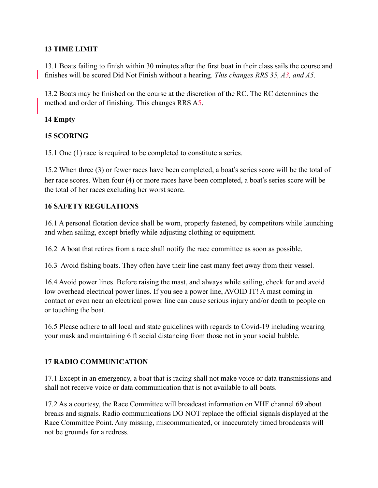# **13 TIME LIMIT**

13.1 Boats failing to finish within 30 minutes after the first boat in their class sails the course and finishes will be scored Did Not Finish without a hearing. *This changes RRS 35, A3, and A5.* 

13.2 Boats may be finished on the course at the discretion of the RC. The RC determines the method and order of finishing. This changes RRS A5.

#### **14 Empty**

#### **15 SCORING**

15.1 One (1) race is required to be completed to constitute a series.

15.2 When three (3) or fewer races have been completed, a boat's series score will be the total of her race scores. When four (4) or more races have been completed, a boat's series score will be the total of her races excluding her worst score.

#### **16 SAFETY REGULATIONS**

16.1 A personal flotation device shall be worn, properly fastened, by competitors while launching and when sailing, except briefly while adjusting clothing or equipment.

16.2 A boat that retires from a race shall notify the race committee as soon as possible.

16.3 Avoid fishing boats. They often have their line cast many feet away from their vessel.

16.4 Avoid power lines. Before raising the mast, and always while sailing, check for and avoid low overhead electrical power lines. If you see a power line, AVOID IT! A mast coming in contact or even near an electrical power line can cause serious injury and/or death to people on or touching the boat.

16.5 Please adhere to all local and state guidelines with regards to Covid-19 including wearing your mask and maintaining 6 ft social distancing from those not in your social bubble.

#### **17 RADIO COMMUNICATION**

17.1 Except in an emergency, a boat that is racing shall not make voice or data transmissions and shall not receive voice or data communication that is not available to all boats.

17.2 As a courtesy, the Race Committee will broadcast information on VHF channel 69 about breaks and signals. Radio communications DO NOT replace the official signals displayed at the Race Committee Point. Any missing, miscommunicated, or inaccurately timed broadcasts will not be grounds for a redress.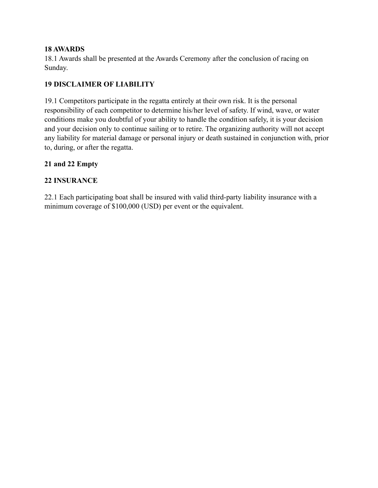#### **18 AWARDS**

18.1 Awards shall be presented at the Awards Ceremony after the conclusion of racing on Sunday.

# **19 DISCLAIMER OF LIABILITY**

19.1 Competitors participate in the regatta entirely at their own risk. It is the personal responsibility of each competitor to determine his/her level of safety. If wind, wave, or water conditions make you doubtful of your ability to handle the condition safely, it is your decision and your decision only to continue sailing or to retire. The organizing authority will not accept any liability for material damage or personal injury or death sustained in conjunction with, prior to, during, or after the regatta.

#### **21 and 22 Empty**

#### **22 INSURANCE**

22.1 Each participating boat shall be insured with valid third-party liability insurance with a minimum coverage of \$100,000 (USD) per event or the equivalent.